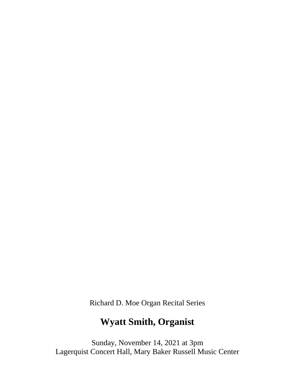Richard D. Moe Organ Recital Series

# **Wyatt Smith, Organist**

Sunday, November 14, 2021 at 3pm Lagerquist Concert Hall, Mary Baker Russell Music Center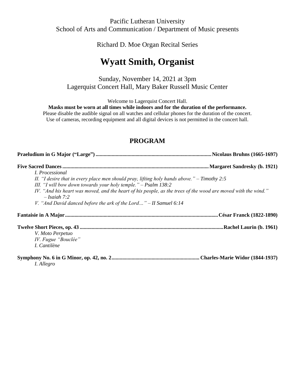Pacific Lutheran University School of Arts and Communication / Department of Music presents

Richard D. Moe Organ Recital Series

## **Wyatt Smith, Organist**

Sunday, November 14, 2021 at 3pm Lagerquist Concert Hall, Mary Baker Russell Music Center

Welcome to Lagerquist Concert Hall.

**Masks must be worn at all times while indoors and for the duration of the performance.**

Please disable the audible signal on all watches and cellular phones for the duration of the concert. Use of cameras, recording equipment and all digital devices is not permitted in the concert hall.

### **PROGRAM**

| <i>I. Processional</i>                                                                                                                                            |
|-------------------------------------------------------------------------------------------------------------------------------------------------------------------|
| II. "I desire that in every place men should pray, lifting holy hands above." $-$ Timothy 2:5<br>III. "I will bow down towards your holy temple." $-$ Psalm 138:2 |
| IV. "And his heart was moved, and the heart of his people, as the trees of the wood are moved with the wind."<br>$- Isaiah 7:2$                                   |
| V. "And David danced before the ark of the Lord" $-II$ Samuel 6:14                                                                                                |
|                                                                                                                                                                   |
|                                                                                                                                                                   |
| V. Moto Perpetuo<br>IV. Fugue "Bouclée"                                                                                                                           |
| I. Cantilène                                                                                                                                                      |
| I. Allegro                                                                                                                                                        |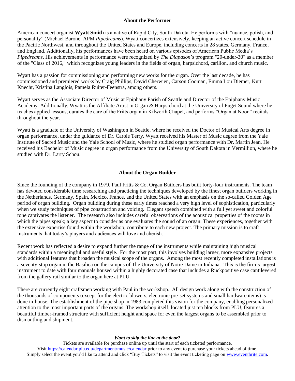#### **About the Performer**

American concert organist **Wyatt Smith** is a native of Rapid City, South Dakota. He performs with "nuance, polish, and personality" (Michael Barone, APM *Pipedreams*). Wyatt concertizes extensively, keeping an active concert schedule in the Pacific Northwest, and throughout the United States and Europe, including concerts in 28 states, Germany, France, and England. Additionally, his performances have been heard on various episodes of American Public Media's *Pipedreams*. His achievements in performance were recognized by *The Diapason*'s program "20-under-30" as a member of the "Class of 2016," which recognizes young leaders in the fields of organ, harpsichord, carillon, and church music.

Wyatt has a passion for commissioning and performing new works for the organ. Over the last decade, he has commissioned and premiered works by Craig Phillips, David Cherwien, Carson Cooman, Emma Lou Diemer, Kurt Knecht, Kristina Langlois, Pamela Ruiter-Feenstra, among others.

Wyatt serves as the Associate Director of Music at Epiphany Parish of Seattle and Director of the Epiphany Music Academy. Additionally, Wyatt is the Affiliate Artist in Organ & Harpsichord at the University of Puget Sound where he teaches applied lessons, curates the care of the Fritts organ in Kilworth Chapel, and performs "Organ at Noon" recitals throughout the year.

Wyatt is a graduate of the University of Washington in Seattle, where he received the Doctor of Musical Arts degree in organ performance, under the guidance of Dr. Carole Terry. Wyatt received his Master of Music degree from the Yale Institute of Sacred Music and the Yale School of Music, where he studied organ performance with Dr. Martin Jean. He received his Bachelor of Music degree in organ performance from the University of South Dakota in Vermillion, where he studied with Dr. Larry Schou.

#### **About the Organ Builder**

Since the founding of the company in 1979, Paul Fritts & Co. Organ Builders has built forty-four instruments. The team has devoted considerable time researching and practicing the techniques developed by the finest organ builders working in the Netherlands, Germany, Spain, Mexico, France, and the United States with an emphasis on the so-called Golden Age period of organ building. Organ building during these early times reached a very high level of sophistication, particularly when we study techniques of pipe construction and voicing. Elegant speech combined with a full yet sweet and colorful tone captivates the listener. The research also includes careful observations of the acoustical properties of the rooms in which the pipes speak; a key aspect to consider as one evaluates the sound of an organ. These experiences, together with the extensive expertise found within the workshop, contribute to each new project. The primary mission is to craft instruments that today's players and audiences will love and cherish.

Recent work has reflected a desire to expand further the range of the instruments while maintaining high musical standards within a meaningful and useful style. For the most part, this involves building larger, more expansive projects with additional features that broaden the musical scope of the organs. Among the most recently completed installations is a seventy-stop organ in the Basilica on the campus of The University of Notre Dame in Indiana. This is the firm's largest instrument to date with four manuals housed within a highly decorated case that includes a Rückpositive case cantilevered from the gallery rail similar to the organ here at PLU.

There are currently eight craftsmen working with Paul in the workshop. All design work along with the construction of the thousands of components (except for the electric blowers, electronic pre-set systems and small hardware items) is done in-house. The establishment of the pipe shop in 1983 completed this vision for the company, enabling personalized attention to the most important parts of the organs. The workshop itself, located just ten blocks from PLU, features a beautiful timber-framed structure with sufficient height and space for even the largest organs to be assembled prior to dismantling and shipment.

#### *Want to skip the line at the door?*

Tickets are available for purchase online up until the start of each ticketed performance. Visit<https://calendar.plu.edu/department/music/calendar> prior to any event to purchase your tickets ahead of time. Simply select the event you'd like to attend and click "Buy Tickets" to visit the event ticketing page on [www.eventbrite.com.](http://www.eventbrite.com/)